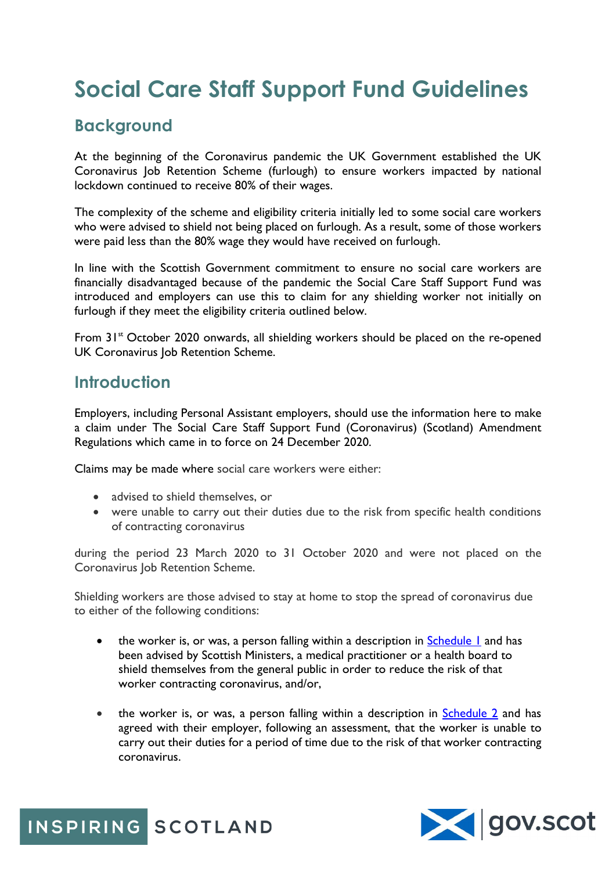# **Social Care Staff Support Fund Guidelines**

### **Background**

At the beginning of the Coronavirus pandemic the UK Government established the UK Coronavirus Job Retention Scheme (furlough) to ensure workers impacted by national lockdown continued to receive 80% of their wages.

The complexity of the scheme and eligibility criteria initially led to some social care workers who were advised to shield not being placed on furlough. As a result, some of those workers were paid less than the 80% wage they would have received on furlough.

In line with the Scottish Government commitment to ensure no social care workers are financially disadvantaged because of the pandemic the Social Care Staff Support Fund was introduced and employers can use this to claim for any shielding worker not initially on furlough if they meet the eligibility criteria outlined below.

From 31<sup>st</sup> October 2020 onwards, all shielding workers should be placed on the re-opened UK Coronavirus Job Retention Scheme.

#### **Introduction**

Employers, including Personal Assistant employers, should use the information here to make a claim under The Social Care Staff Support Fund (Coronavirus) (Scotland) Amendment Regulations which came in to force on 24 December 2020.

Claims may be made where social care workers were either:

- advised to shield themselves, or
- were unable to carry out their duties due to the risk from specific health conditions of contracting coronavirus

during the period 23 March 2020 to 31 October 2020 and were not placed on the Coronavirus Job Retention Scheme.

Shielding workers are those advised to stay at home to stop the spread of coronavirus due to either of the following conditions:

- the worker is, or was, a person falling within a description in Schedule I and has been advised by Scottish Ministers, a medical practitioner or a health board to shield themselves from the general public in order to reduce the risk of that worker contracting coronavirus, and/or,
- the worker is, or was, a person falling within a description in [Schedule 2](https://www.inspiringscotland.org.uk/wp-content/uploads/2021/01/Schedule-2.pdf) and has agreed with their employer, following an assessment, that the worker is unable to carry out their duties for a period of time due to the risk of that worker contracting coronavirus.



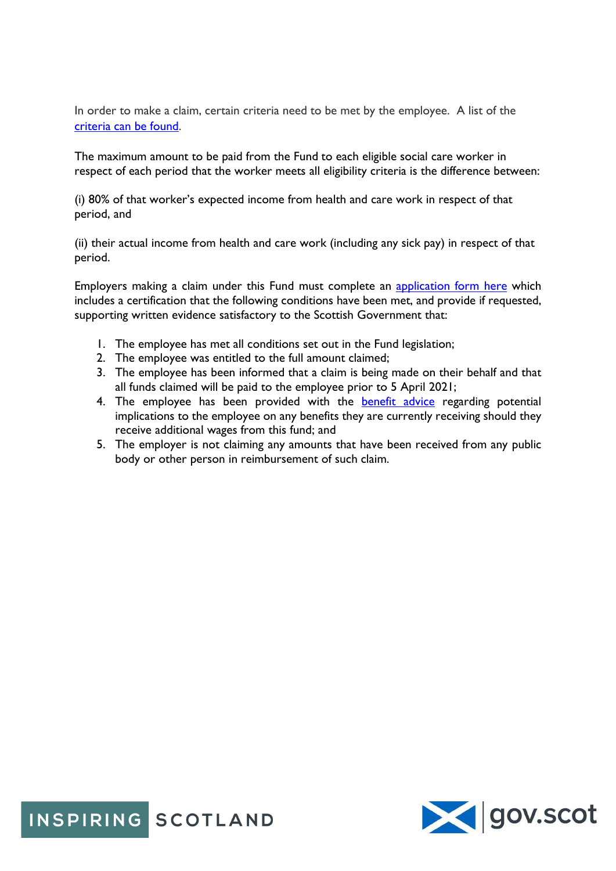In order to make a claim, certain criteria need to be met by the employee. A list of the [criteria](https://www.inspiringscotland.org.uk/wp-content/uploads/2021/01/Fund-Criteria.pdf) can be found.

The maximum amount to be paid from the Fund to each eligible social care worker in respect of each period that the worker meets all eligibility criteria is the difference between:

(i) 80% of that worker's expected income from health and care work in respect of that period, and

(ii) their actual income from health and care work (including any sick pay) in respect of that period.

Employers making a claim under this Fund must complete an [application](https://survey.alchemer.com/s3/6105712/Social-Care-Staff-Support-Fund) form here which includes a certification that the following conditions have been met, and provide if requested, supporting written evidence satisfactory to the Scottish Government that:

- 1. The employee has met all conditions set out in the Fund legislation;
- 2. The employee was entitled to the full amount claimed;
- 3. The employee has been informed that a claim is being made on their behalf and that all funds claimed will be paid to the employee prior to 5 April 2021;
- 4. The employee has been provided with the **[benefit advice](https://www.inspiringscotland.org.uk/wp-content/uploads/2021/01/Benefits-Guidance.pdf)** regarding potential implications to the employee on any benefits they are currently receiving should they receive additional wages from this fund; and
- 5. The employer is not claiming any amounts that have been received from any public body or other person in reimbursement of such claim.

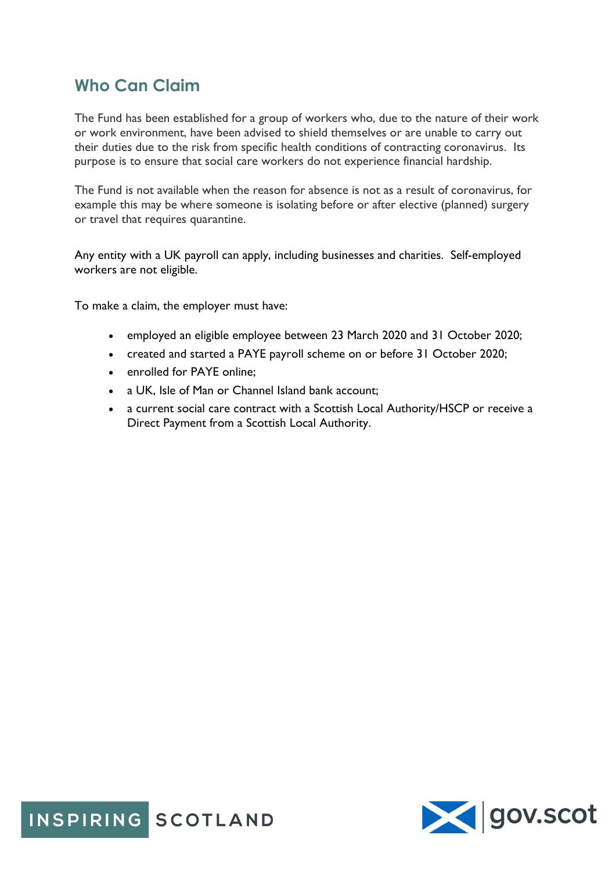### **Who Can Claim**

The Fund has been established for a group of workers who, due to the nature of their work or work environment, have been advised to shield themselves or are unable to carry out their duties due to the risk from specific health conditions of contracting coronavirus. Its purpose is to ensure that social care workers do not experience financial hardship.

The Fund is not available when the reason for absence is not as a result of coronavirus, for example this may be where someone is isolating before or after elective (planned) surgery or travel that requires quarantine.

Any entity with a UK payroll can apply, including businesses and charities. Self-employed workers are not eligible.

To make a claim, the employer must have:

- employed an eligible employee between 23 March 2020 and 31 October 2020;
- created and started a PAYE payroll scheme on or before 31 October 2020;
- enrolled for PAYF online:
- a UK, Isle of Man or Channel Island bank account;
- a current social care contract with a Scottish Local Authority/HSCP or receive a Direct Payment from a Scottish Local Authority.



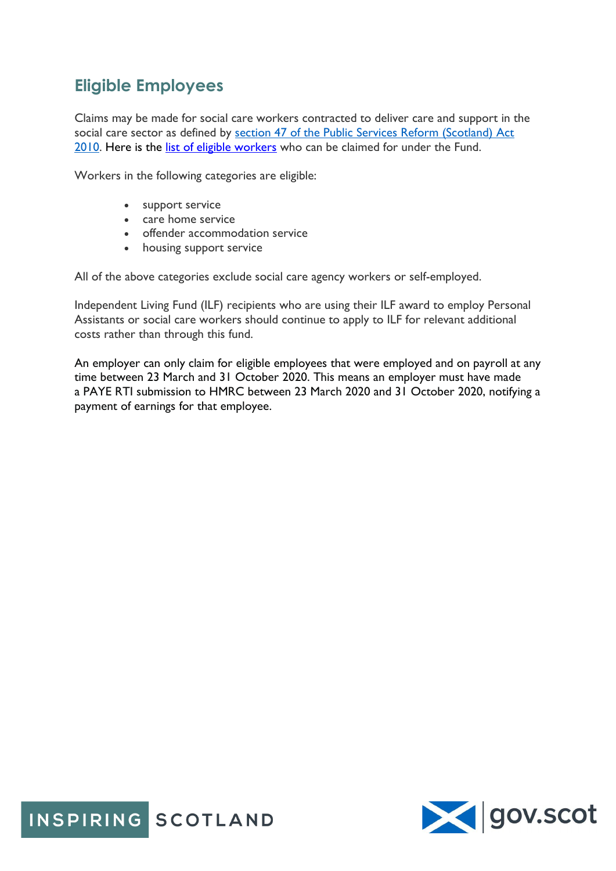## **Eligible Employees**

Claims may be made for social care workers contracted to deliver care and support in the social care sector as defined by [section 47 of the Public Services Reform \(Scotland\) Act](https://www.legislation.gov.uk/asp/2010/8/section/47)  [2010.](https://www.legislation.gov.uk/asp/2010/8/section/47) Here is the list of eligible [workers](https://www.inspiringscotland.org.uk/wp-content/uploads/2021/01/Eligible-Employees.pdf) who can be claimed for under the Fund.

Workers in the following categories are eligible:

- support service
- care home service
- offender accommodation service
- housing support service

All of the above categories exclude social care agency workers or self-employed.

Independent Living Fund (ILF) recipients who are using their ILF award to employ Personal Assistants or social care workers should continue to apply to ILF for relevant additional costs rather than through this fund.

An employer can only claim for eligible employees that were employed and on payroll at any time between 23 March and 31 October 2020. This means an employer must have made a PAYE RTI submission to HMRC between 23 March 2020 and 31 October 2020, notifying a payment of earnings for that employee.